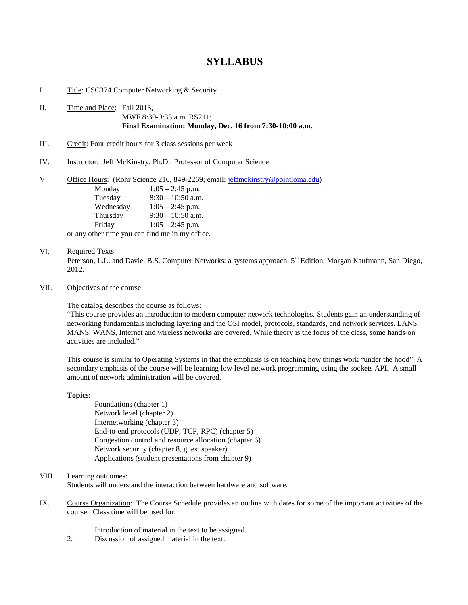## **SYLLABUS**

I. Title: CSC374 Computer Networking & Security

II. Time and Place: Fall 2013, MWF 8:30-9:35 a.m. RS211; **Final Examination: Monday, Dec. 16 from 7:30-10:00 a.m.**

III. Credit: Four credit hours for 3 class sessions per week

IV. Instructor: Jeff McKinstry, Ph.D., Professor of Computer Science

V. Office Hours: (Rohr Science 216, 849-2269; email: [jeffmckinstry@pointloma.edu\)](mailto:jeffmckinstry@pointloma.edu) Monday 1:05 – 2:45 p.m. Tuesday 8:30 – 10:50 a.m. Wednesday 1:05 – 2:45 p.m. Thursday 9:30 – 10:50 a.m. Friday 1:05 – 2:45 p.m. or any other time you can find me in my office.

## VI. Required Texts:

Peterson, L.L. and Davie, B.S. Computer Networks: a systems approach. 5<sup>th</sup> Edition, Morgan Kaufmann, San Diego, 2012.

VII. Objectives of the course:

The catalog describes the course as follows:

"This course provides an introduction to modern computer network technologies. Students gain an understanding of networking fundamentals including layering and the OSI model, protocols, standards, and network services. LANS, MANS, WANS, Internet and wireless networks are covered. While theory is the focus of the class, some hands-on activities are included."

This course is similar to Operating Systems in that the emphasis is on teaching how things work "under the hood". A secondary emphasis of the course will be learning low-level network programming using the sockets API. A small amount of network administration will be covered.

## **Topics:**

Foundations (chapter 1) Network level (chapter 2) Internetworking (chapter 3) End-to-end protocols (UDP, TCP, RPC) (chapter 5) Congestion control and resource allocation (chapter 6) Network security (chapter 8, guest speaker) Applications (student presentations from chapter 9)

## VIII. Learning outcomes:

Students will understand the interaction between hardware and software.

- IX. Course Organization: The Course Schedule provides an outline with dates for some of the important activities of the course. Class time will be used for:
	- 1. Introduction of material in the text to be assigned.
	- 2. Discussion of assigned material in the text.